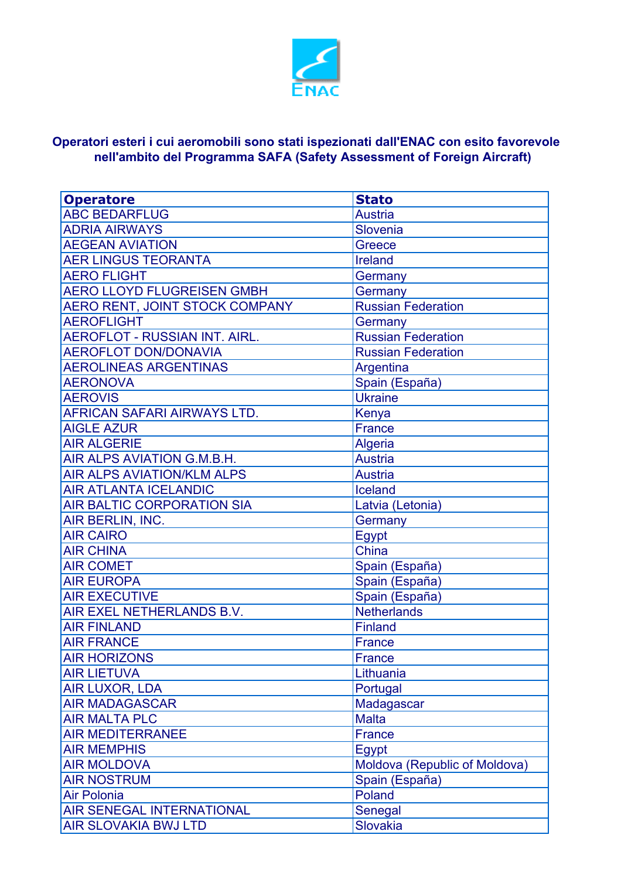

## **nell'ambito del Programma SAFA (Safety Assessment of Foreign Aircraft) Operatori esteri i cui aeromobili sono stati ispezionati dall'ENAC con esito favorevole**

| <b>Operatore</b>                     | <b>Stato</b>                  |
|--------------------------------------|-------------------------------|
| <b>ABC BEDARFLUG</b>                 | <b>Austria</b>                |
| <b>ADRIA AIRWAYS</b>                 | Slovenia                      |
| <b>AEGEAN AVIATION</b>               | Greece                        |
| <b>AER LINGUS TEORANTA</b>           | Ireland                       |
| <b>AERO FLIGHT</b>                   | Germany                       |
| <b>AERO LLOYD FLUGREISEN GMBH</b>    | Germany                       |
| AERO RENT, JOINT STOCK COMPANY       | <b>Russian Federation</b>     |
| <b>AEROFLIGHT</b>                    | Germany                       |
| <b>AEROFLOT - RUSSIAN INT. AIRL.</b> | <b>Russian Federation</b>     |
| <b>AEROFLOT DON/DONAVIA</b>          | <b>Russian Federation</b>     |
| <b>AEROLINEAS ARGENTINAS</b>         | Argentina                     |
| <b>AERONOVA</b>                      | Spain (España)                |
| <b>AEROVIS</b>                       | <b>Ukraine</b>                |
| AFRICAN SAFARI AIRWAYS LTD.          | Kenya                         |
| <b>AIGLE AZUR</b>                    | <b>France</b>                 |
| <b>AIR ALGERIE</b>                   | Algeria                       |
| AIR ALPS AVIATION G.M.B.H.           | <b>Austria</b>                |
| <b>AIR ALPS AVIATION/KLM ALPS</b>    | <b>Austria</b>                |
| <b>AIR ATLANTA ICELANDIC</b>         | Iceland                       |
| AIR BALTIC CORPORATION SIA           | Latvia (Letonia)              |
| AIR BERLIN, INC.                     | Germany                       |
| <b>AIR CAIRO</b>                     | <b>Egypt</b>                  |
| <b>AIR CHINA</b>                     | China                         |
| <b>AIR COMET</b>                     | Spain (España)                |
| <b>AIR EUROPA</b>                    | Spain (España)                |
| <b>AIR EXECUTIVE</b>                 | Spain (España)                |
| AIR EXEL NETHERLANDS B.V.            | <b>Netherlands</b>            |
| <b>AIR FINLAND</b>                   | <b>Finland</b>                |
| <b>AIR FRANCE</b>                    | <b>France</b>                 |
| <b>AIR HORIZONS</b>                  | France                        |
| <b>AIR LIETUVA</b>                   | Lithuania                     |
| <b>AIR LUXOR, LDA</b>                | Portugal                      |
| <b>AIR MADAGASCAR</b>                | Madagascar                    |
| <b>AIR MALTA PLC</b>                 | <b>Malta</b>                  |
| <b>AIR MEDITERRANEE</b>              | <b>France</b>                 |
| <b>AIR MEMPHIS</b>                   | Egypt                         |
| <b>AIR MOLDOVA</b>                   | Moldova (Republic of Moldova) |
| <b>AIR NOSTRUM</b>                   | Spain (España)                |
| <b>Air Polonia</b>                   | Poland                        |
| AIR SENEGAL INTERNATIONAL            | Senegal                       |
| <b>AIR SLOVAKIA BWJ LTD</b>          | Slovakia                      |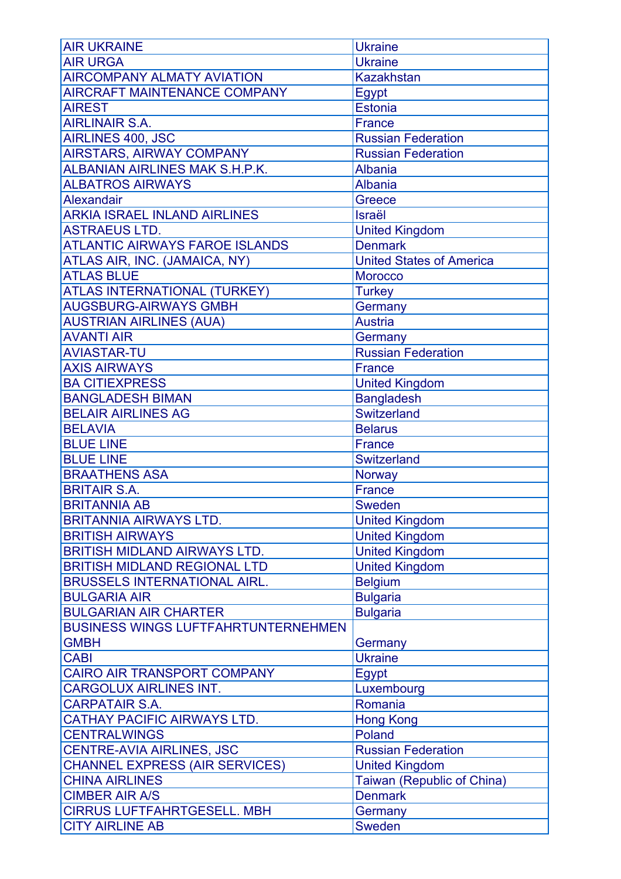| <b>AIR UKRAINE</b>                         | <b>Ukraine</b>                  |
|--------------------------------------------|---------------------------------|
| <b>AIR URGA</b>                            | <b>Ukraine</b>                  |
| <b>AIRCOMPANY ALMATY AVIATION</b>          | <b>Kazakhstan</b>               |
| <b>AIRCRAFT MAINTENANCE COMPANY</b>        | Egypt                           |
| <b>AIREST</b>                              | Estonia                         |
| <b>AIRLINAIR S.A.</b>                      | <b>France</b>                   |
| AIRLINES 400, JSC                          | <b>Russian Federation</b>       |
| <b>AIRSTARS, AIRWAY COMPANY</b>            | <b>Russian Federation</b>       |
| <b>ALBANIAN AIRLINES MAK S.H.P.K.</b>      | <b>Albania</b>                  |
| <b>ALBATROS AIRWAYS</b>                    | <b>Albania</b>                  |
| Alexandair                                 | Greece                          |
| <b>ARKIA ISRAEL INLAND AIRLINES</b>        | <b>Israël</b>                   |
| <b>ASTRAEUS LTD.</b>                       | <b>United Kingdom</b>           |
| <b>ATLANTIC AIRWAYS FAROE ISLANDS</b>      | <b>Denmark</b>                  |
| ATLAS AIR, INC. (JAMAICA, NY)              | <b>United States of America</b> |
| <b>ATLAS BLUE</b>                          | <b>Morocco</b>                  |
|                                            |                                 |
| ATLAS INTERNATIONAL (TURKEY)               | <b>Turkey</b>                   |
| <b>AUGSBURG-AIRWAYS GMBH</b>               | Germany                         |
| <b>AUSTRIAN AIRLINES (AUA)</b>             | <b>Austria</b>                  |
| <b>AVANTI AIR</b>                          | Germany                         |
| <b>AVIASTAR-TU</b>                         | <b>Russian Federation</b>       |
| <b>AXIS AIRWAYS</b>                        | <b>France</b>                   |
| <b>BA CITIEXPRESS</b>                      | <b>United Kingdom</b>           |
| <b>BANGLADESH BIMAN</b>                    | <b>Bangladesh</b>               |
| <b>BELAIR AIRLINES AG</b>                  | <b>Switzerland</b>              |
| <b>BELAVIA</b>                             | <b>Belarus</b>                  |
| <b>BLUE LINE</b>                           | <b>France</b>                   |
| <b>BLUE LINE</b>                           | Switzerland                     |
| <b>BRAATHENS ASA</b>                       | Norway                          |
| <b>BRITAIR S.A.</b>                        | <b>France</b>                   |
| <b>BRITANNIA AB</b>                        | <b>Sweden</b>                   |
| <b>BRITANNIA AIRWAYS LTD.</b>              | <b>United Kingdom</b>           |
| <b>BRITISH AIRWAYS</b>                     | <b>United Kingdom</b>           |
| <b>BRITISH MIDLAND AIRWAYS LTD.</b>        | <b>United Kingdom</b>           |
| <b>BRITISH MIDLAND REGIONAL LTD</b>        | <b>United Kingdom</b>           |
| <b>BRUSSELS INTERNATIONAL AIRL.</b>        | <b>Belgium</b>                  |
| <b>BULGARIA AIR</b>                        | <b>Bulgaria</b>                 |
| <b>BULGARIAN AIR CHARTER</b>               | <b>Bulgaria</b>                 |
| <b>BUSINESS WINGS LUFTFAHRTUNTERNEHMEN</b> |                                 |
| <b>GMBH</b>                                | Germany                         |
| <b>CABI</b>                                | <b>Ukraine</b>                  |
| CAIRO AIR TRANSPORT COMPANY                | <b>Egypt</b>                    |
| <b>CARGOLUX AIRLINES INT.</b>              | Luxembourg                      |
| <b>CARPATAIR S.A.</b>                      | Romania                         |
| <b>CATHAY PACIFIC AIRWAYS LTD.</b>         | <b>Hong Kong</b>                |
| <b>CENTRALWINGS</b>                        | Poland                          |
| <b>CENTRE-AVIA AIRLINES, JSC</b>           | <b>Russian Federation</b>       |
| <b>CHANNEL EXPRESS (AIR SERVICES)</b>      | <b>United Kingdom</b>           |
| <b>CHINA AIRLINES</b>                      | Taiwan (Republic of China)      |
| <b>CIMBER AIR A/S</b>                      | <b>Denmark</b>                  |
| <b>CIRRUS LUFTFAHRTGESELL. MBH</b>         | Germany                         |
| <b>CITY AIRLINE AB</b>                     | <b>Sweden</b>                   |
|                                            |                                 |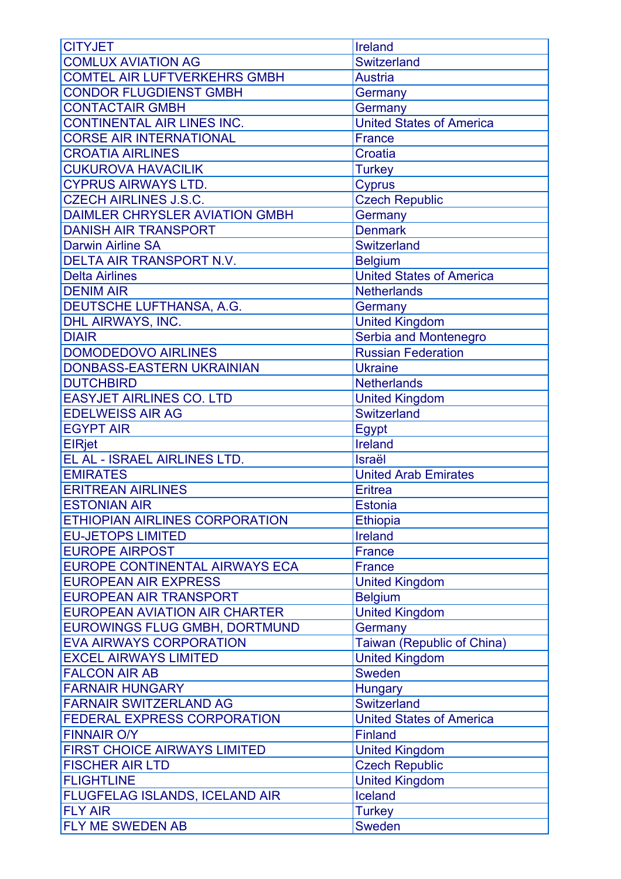| <b>CITYJET</b>                            | Ireland                         |
|-------------------------------------------|---------------------------------|
| <b>COMLUX AVIATION AG</b>                 | Switzerland                     |
| <b>COMTEL AIR LUFTVERKEHRS GMBH</b>       | <b>Austria</b>                  |
| <b>CONDOR FLUGDIENST GMBH</b>             | Germany                         |
| <b>CONTACTAIR GMBH</b>                    | Germany                         |
| <b>CONTINENTAL AIR LINES INC.</b>         | <b>United States of America</b> |
| <b>CORSE AIR INTERNATIONAL</b>            | <b>France</b>                   |
| <b>CROATIA AIRLINES</b>                   | Croatia                         |
| <b>CUKUROVA HAVACILIK</b>                 | <b>Turkey</b>                   |
| <b>CYPRUS AIRWAYS LTD.</b>                | <b>Cyprus</b>                   |
| <b>CZECH AIRLINES J.S.C.</b>              | <b>Czech Republic</b>           |
| <b>DAIMLER CHRYSLER AVIATION GMBH</b>     | Germany                         |
| <b>DANISH AIR TRANSPORT</b>               | <b>Denmark</b>                  |
| <b>Darwin Airline SA</b>                  | Switzerland                     |
| DELTA AIR TRANSPORT N.V.                  | <b>Belgium</b>                  |
| <b>Delta Airlines</b>                     |                                 |
|                                           | <b>United States of America</b> |
| <b>DENIM AIR</b>                          | <b>Netherlands</b>              |
| DEUTSCHE LUFTHANSA, A.G.                  | Germany                         |
| DHL AIRWAYS, INC.                         | <b>United Kingdom</b>           |
| <b>DIAIR</b>                              | Serbia and Montenegro           |
| <b>DOMODEDOVO AIRLINES</b>                | <b>Russian Federation</b>       |
| DONBASS-EASTERN UKRAINIAN                 | <b>Ukraine</b>                  |
| <b>DUTCHBIRD</b>                          | <b>Netherlands</b>              |
| <b>EASYJET AIRLINES CO. LTD</b>           | <b>United Kingdom</b>           |
| <b>EDELWEISS AIR AG</b>                   | <b>Switzerland</b>              |
| <b>EGYPT AIR</b>                          | Egypt                           |
|                                           |                                 |
| <b>ElRiet</b>                             | Ireland                         |
| EL AL - ISRAEL AIRLINES LTD.              | Israël                          |
| <b>EMIRATES</b>                           | <b>United Arab Emirates</b>     |
| <b>ERITREAN AIRLINES</b>                  | <b>Eritrea</b>                  |
| <b>ESTONIAN AIR</b>                       | Estonia                         |
| <b>ETHIOPIAN AIRLINES CORPORATION</b>     | Ethiopia                        |
| <b>EU-JETOPS LIMITED</b>                  | Ireland                         |
| <b>EUROPE AIRPOST</b>                     | <b>France</b>                   |
| <b>EUROPE CONTINENTAL AIRWAYS ECA</b>     | <b>France</b>                   |
| <b>EUROPEAN AIR EXPRESS</b>               | <b>United Kingdom</b>           |
| <b>EUROPEAN AIR TRANSPORT</b>             | <b>Belgium</b>                  |
| <b>EUROPEAN AVIATION AIR CHARTER</b>      | <b>United Kingdom</b>           |
| <b>EUROWINGS FLUG GMBH, DORTMUND</b>      | Germany                         |
|                                           |                                 |
| <b>EVA AIRWAYS CORPORATION</b>            | Taiwan (Republic of China)      |
| <b>EXCEL AIRWAYS LIMITED</b>              | <b>United Kingdom</b>           |
| <b>FALCON AIR AB</b>                      | Sweden                          |
| <b>FARNAIR HUNGARY</b>                    | <b>Hungary</b>                  |
| <b>FARNAIR SWITZERLAND AG</b>             | Switzerland                     |
| <b>FEDERAL EXPRESS CORPORATION</b>        | <b>United States of America</b> |
| <b>FINNAIR O/Y</b>                        | <b>Finland</b>                  |
| <b>FIRST CHOICE AIRWAYS LIMITED</b>       | <b>United Kingdom</b>           |
| <b>FISCHER AIR LTD</b>                    | <b>Czech Republic</b>           |
| <b>FLIGHTLINE</b>                         | <b>United Kingdom</b>           |
| FLUGFELAG ISLANDS, ICELAND AIR            | Iceland                         |
| <b>FLY AIR</b><br><b>FLY ME SWEDEN AB</b> | <b>Turkey</b><br><b>Sweden</b>  |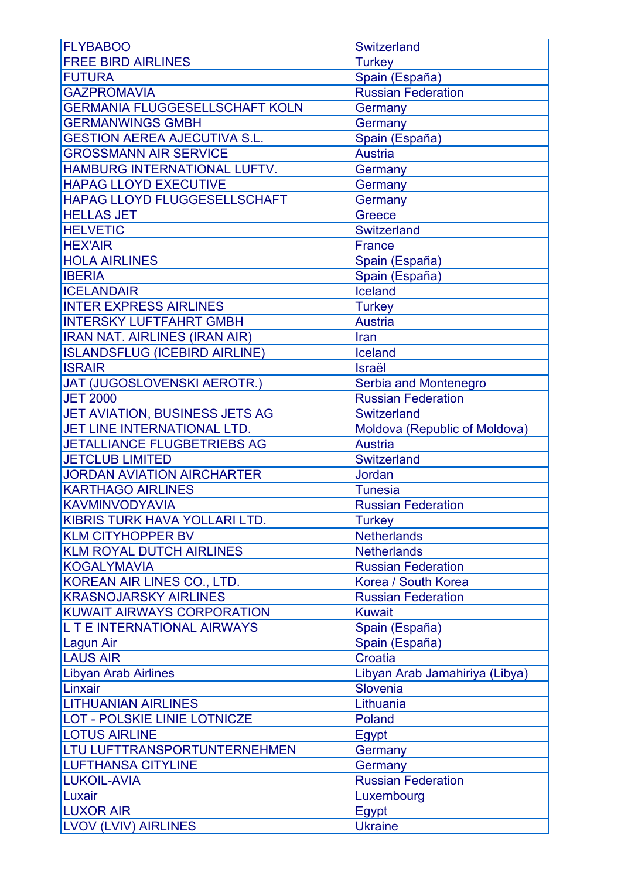| <b>FLYBABOO</b>                       | Switzerland                    |
|---------------------------------------|--------------------------------|
| <b>FREE BIRD AIRLINES</b>             | <b>Turkey</b>                  |
| <b>FUTURA</b>                         | Spain (España)                 |
| <b>GAZPROMAVIA</b>                    | <b>Russian Federation</b>      |
| <b>GERMANIA FLUGGESELLSCHAFT KOLN</b> | Germany                        |
| <b>GERMANWINGS GMBH</b>               | Germany                        |
| <b>GESTION AEREA AJECUTIVA S.L.</b>   | Spain (España)                 |
| <b>GROSSMANN AIR SERVICE</b>          | <b>Austria</b>                 |
| HAMBURG INTERNATIONAL LUFTV.          | Germany                        |
| <b>HAPAG LLOYD EXECUTIVE</b>          | Germany                        |
| HAPAG LLOYD FLUGGESELLSCHAFT          | Germany                        |
| <b>HELLAS JET</b>                     | Greece                         |
| <b>HELVETIC</b>                       | Switzerland                    |
| <b>HEX'AIR</b>                        | <b>France</b>                  |
| <b>HOLA AIRLINES</b>                  | Spain (España)                 |
| <b>IBERIA</b>                         | Spain (España)                 |
| <b>ICELANDAIR</b>                     | Iceland                        |
| <b>INTER EXPRESS AIRLINES</b>         | <b>Turkey</b>                  |
| <b>INTERSKY LUFTFAHRT GMBH</b>        | <b>Austria</b>                 |
| <b>IRAN NAT. AIRLINES (IRAN AIR)</b>  | Iran                           |
| <b>ISLANDSFLUG (ICEBIRD AIRLINE)</b>  | Iceland                        |
| <b>ISRAIR</b>                         | <b>Israël</b>                  |
| JAT (JUGOSLOVENSKI AEROTR.)           | Serbia and Montenegro          |
| <b>JET 2000</b>                       | <b>Russian Federation</b>      |
| JET AVIATION, BUSINESS JETS AG        | Switzerland                    |
| JET LINE INTERNATIONAL LTD.           | Moldova (Republic of Moldova)  |
| JETALLIANCE FLUGBETRIEBS AG           | <b>Austria</b>                 |
| <b>JETCLUB LIMITED</b>                | Switzerland                    |
| <b>JORDAN AVIATION AIRCHARTER</b>     | Jordan                         |
| <b>KARTHAGO AIRLINES</b>              | <b>Tunesia</b>                 |
| KAVMINVODYAVIA                        | <b>Russian Federation</b>      |
| KIBRIS TURK HAVA YOLLARI LTD.         | <b>Turkey</b>                  |
| <b>KLM CITYHOPPER BV</b>              | <b>Netherlands</b>             |
| <b>KLM ROYAL DUTCH AIRLINES</b>       | <b>Netherlands</b>             |
| <b>KOGALYMAVIA</b>                    | <b>Russian Federation</b>      |
| KOREAN AIR LINES CO., LTD.            | Korea / South Korea            |
| <b>KRASNOJARSKY AIRLINES</b>          | <b>Russian Federation</b>      |
| <b>KUWAIT AIRWAYS CORPORATION</b>     | <b>Kuwait</b>                  |
| L T E INTERNATIONAL AIRWAYS           | Spain (España)                 |
| Lagun Air                             | Spain (España)                 |
| <b>LAUS AIR</b>                       | <b>Croatia</b>                 |
| <b>Libyan Arab Airlines</b>           | Libyan Arab Jamahiriya (Libya) |
| Linxair                               | Slovenia                       |
| <b>LITHUANIAN AIRLINES</b>            | Lithuania                      |
| <b>LOT - POLSKIE LINIE LOTNICZE</b>   | Poland                         |
| <b>LOTUS AIRLINE</b>                  | Egypt                          |
| LTU LUFTTRANSPORTUNTERNEHMEN          | Germany                        |
| <b>LUFTHANSA CITYLINE</b>             | Germany                        |
| <b>LUKOIL-AVIA</b>                    | <b>Russian Federation</b>      |
| Luxair                                | Luxembourg                     |
| <b>LUXOR AIR</b>                      | <b>Egypt</b>                   |
| <b>LVOV (LVIV) AIRLINES</b>           | <b>Ukraine</b>                 |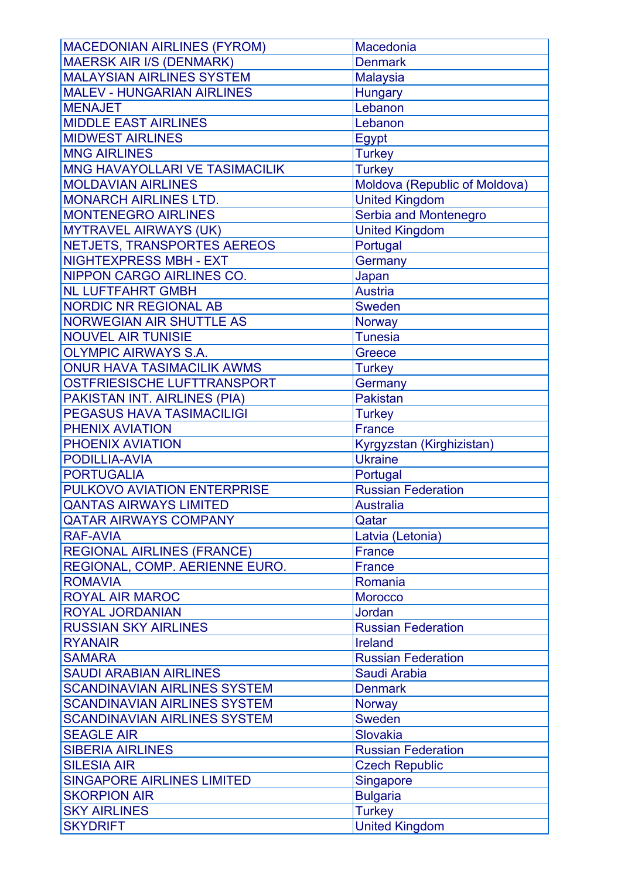| <b>MACEDONIAN AIRLINES (FYROM)</b>               | Macedonia                         |
|--------------------------------------------------|-----------------------------------|
| <b>MAERSK AIR I/S (DENMARK)</b>                  | <b>Denmark</b>                    |
| <b>MALAYSIAN AIRLINES SYSTEM</b>                 | <b>Malaysia</b>                   |
| <b>MALEV - HUNGARIAN AIRLINES</b>                | <b>Hungary</b>                    |
| <b>MENAJET</b>                                   | Lebanon                           |
| <b>MIDDLE EAST AIRLINES</b>                      | Lebanon                           |
| <b>MIDWEST AIRLINES</b>                          | Egypt                             |
| <b>MNG AIRLINES</b>                              | <b>Turkey</b>                     |
| MNG HAVAYOLLARI VE TASIMACILIK                   | <b>Turkey</b>                     |
| <b>MOLDAVIAN AIRLINES</b>                        | Moldova (Republic of Moldova)     |
| <b>MONARCH AIRLINES LTD.</b>                     | <b>United Kingdom</b>             |
| <b>MONTENEGRO AIRLINES</b>                       | Serbia and Montenegro             |
| <b>MYTRAVEL AIRWAYS (UK)</b>                     | <b>United Kingdom</b>             |
| NETJETS, TRANSPORTES AEREOS                      | Portugal                          |
| <b>NIGHTEXPRESS MBH - EXT</b>                    | Germany                           |
| <b>NIPPON CARGO AIRLINES CO.</b>                 | Japan                             |
| <b>NL LUFTFAHRT GMBH</b>                         | <b>Austria</b>                    |
| <b>NORDIC NR REGIONAL AB</b>                     | <b>Sweden</b>                     |
| <b>NORWEGIAN AIR SHUTTLE AS</b>                  | Norway                            |
| <b>NOUVEL AIR TUNISIE</b>                        | <b>Tunesia</b>                    |
| <b>OLYMPIC AIRWAYS S.A.</b>                      | Greece                            |
| <b>ONUR HAVA TASIMACILIK AWMS</b>                | <b>Turkey</b>                     |
| OSTFRIESISCHE LUFTTRANSPORT                      | Germany                           |
| PAKISTAN INT. AIRLINES (PIA)                     | <b>Pakistan</b>                   |
| <b>PEGASUS HAVA TASIMACILIGI</b>                 | <b>Turkey</b>                     |
| PHENIX AVIATION                                  | <b>France</b>                     |
| PHOENIX AVIATION                                 | Kyrgyzstan (Kirghizistan)         |
| PODILLIA-AVIA                                    | <b>Ukraine</b>                    |
| <b>PORTUGALIA</b>                                | Portugal                          |
| PULKOVO AVIATION ENTERPRISE                      | <b>Russian Federation</b>         |
| <b>QANTAS AIRWAYS LIMITED</b>                    | <b>Australia</b>                  |
|                                                  |                                   |
| <b>QATAR AIRWAYS COMPANY</b><br><b>RAF-AVIA</b>  | Qatar                             |
| <b>REGIONAL AIRLINES (FRANCE)</b>                | Latvia (Letonia)<br><b>France</b> |
|                                                  |                                   |
| REGIONAL, COMP. AERIENNE EURO.<br><b>ROMAVIA</b> | <b>France</b>                     |
|                                                  | Romania                           |
| <b>ROYAL AIR MAROC</b>                           | <b>Morocco</b>                    |
| ROYAL JORDANIAN                                  | <b>Jordan</b>                     |
| <b>RUSSIAN SKY AIRLINES</b>                      | <b>Russian Federation</b>         |
| <b>RYANAIR</b>                                   | <b>Ireland</b>                    |
| <b>SAMARA</b>                                    | <b>Russian Federation</b>         |
| <b>SAUDI ARABIAN AIRLINES</b>                    | Saudi Arabia                      |
| <b>SCANDINAVIAN AIRLINES SYSTEM</b>              | <b>Denmark</b>                    |
| <b>SCANDINAVIAN AIRLINES SYSTEM</b>              | <b>Norway</b>                     |
| <b>SCANDINAVIAN AIRLINES SYSTEM</b>              | Sweden                            |
| <b>SEAGLE AIR</b>                                | Slovakia                          |
| <b>SIBERIA AIRLINES</b>                          | <b>Russian Federation</b>         |
| <b>SILESIA AIR</b>                               | <b>Czech Republic</b>             |
| <b>SINGAPORE AIRLINES LIMITED</b>                | Singapore                         |
| <b>SKORPION AIR</b>                              | <b>Bulgaria</b>                   |
| <b>SKY AIRLINES</b>                              | <b>Turkey</b>                     |
| <b>SKYDRIFT</b>                                  | <b>United Kingdom</b>             |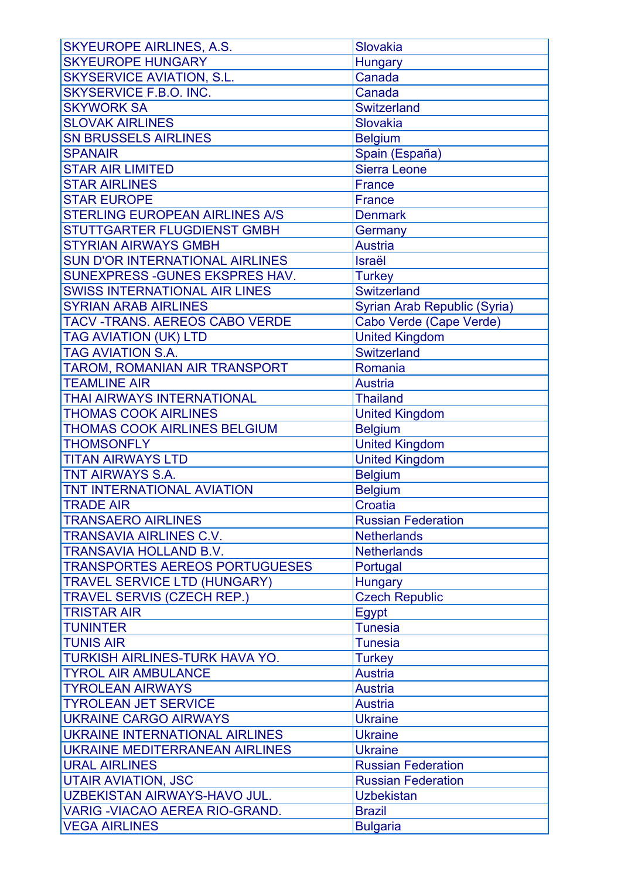| <b>SKYEUROPE AIRLINES, A.S.</b>        | Slovakia                     |
|----------------------------------------|------------------------------|
| <b>SKYEUROPE HUNGARY</b>               | <b>Hungary</b>               |
| <b>SKYSERVICE AVIATION, S.L.</b>       | Canada                       |
| <b>SKYSERVICE F.B.O. INC.</b>          | Canada                       |
| <b>SKYWORK SA</b>                      | <b>Switzerland</b>           |
| <b>SLOVAK AIRLINES</b>                 | Slovakia                     |
| <b>SN BRUSSELS AIRLINES</b>            | <b>Belgium</b>               |
| <b>SPANAIR</b>                         | Spain (España)               |
| <b>STAR AIR LIMITED</b>                | Sierra Leone                 |
| <b>STAR AIRLINES</b>                   | <b>France</b>                |
| <b>STAR EUROPE</b>                     | <b>France</b>                |
| <b>STERLING EUROPEAN AIRLINES A/S</b>  | <b>Denmark</b>               |
| <b>STUTTGARTER FLUGDIENST GMBH</b>     | Germany                      |
| <b>STYRIAN AIRWAYS GMBH</b>            | <b>Austria</b>               |
| <b>SUN D'OR INTERNATIONAL AIRLINES</b> | Israël                       |
| SUNEXPRESS - GUNES EKSPRES HAV.        | <b>Turkey</b>                |
| <b>SWISS INTERNATIONAL AIR LINES</b>   | Switzerland                  |
| <b>SYRIAN ARAB AIRLINES</b>            | Syrian Arab Republic (Syria) |
| <b>TACV-TRANS. AEREOS CABO VERDE</b>   | Cabo Verde (Cape Verde)      |
| <b>TAG AVIATION (UK) LTD</b>           | <b>United Kingdom</b>        |
| <b>TAG AVIATION S.A.</b>               | <b>Switzerland</b>           |
| TAROM, ROMANIAN AIR TRANSPORT          | Romania                      |
| <b>TEAMLINE AIR</b>                    | <b>Austria</b>               |
| <b>THAI AIRWAYS INTERNATIONAL</b>      | <b>Thailand</b>              |
| <b>THOMAS COOK AIRLINES</b>            | <b>United Kingdom</b>        |
| <b>THOMAS COOK AIRLINES BELGIUM</b>    | <b>Belgium</b>               |
| <b>THOMSONFLY</b>                      | <b>United Kingdom</b>        |
| <b>TITAN AIRWAYS LTD</b>               | <b>United Kingdom</b>        |
| <b>TNT AIRWAYS S.A.</b>                | <b>Belgium</b>               |
| <b>TNT INTERNATIONAL AVIATION</b>      | <b>Belgium</b>               |
| <b>TRADE AIR</b>                       | Croatia                      |
| <b>TRANSAERO AIRLINES</b>              | <b>Russian Federation</b>    |
| <b>TRANSAVIA AIRLINES C.V.</b>         | <b>Netherlands</b>           |
| <b>TRANSAVIA HOLLAND B.V.</b>          | <b>Netherlands</b>           |
| <b>TRANSPORTES AEREOS PORTUGUESES</b>  | Portugal                     |
| <b>TRAVEL SERVICE LTD (HUNGARY)</b>    | <b>Hungary</b>               |
| <b>TRAVEL SERVIS (CZECH REP.)</b>      | <b>Czech Republic</b>        |
| <b>TRISTAR AIR</b>                     | <b>Egypt</b>                 |
| <b>TUNINTER</b>                        | <b>Tunesia</b>               |
| <b>TUNIS AIR</b>                       | <b>Tunesia</b>               |
| <b>TURKISH AIRLINES-TURK HAVA YO.</b>  | <b>Turkey</b>                |
| <b>TYROL AIR AMBULANCE</b>             | <b>Austria</b>               |
| <b>TYROLEAN AIRWAYS</b>                | <b>Austria</b>               |
| <b>TYROLEAN JET SERVICE</b>            | <b>Austria</b>               |
| <b>UKRAINE CARGO AIRWAYS</b>           | <b>Ukraine</b>               |
| <b>UKRAINE INTERNATIONAL AIRLINES</b>  | <b>Ukraine</b>               |
| <b>UKRAINE MEDITERRANEAN AIRLINES</b>  | <b>Ukraine</b>               |
| <b>URAL AIRLINES</b>                   | <b>Russian Federation</b>    |
| <b>UTAIR AVIATION, JSC</b>             | <b>Russian Federation</b>    |
| UZBEKISTAN AIRWAYS-HAVO JUL.           | <b>Uzbekistan</b>            |
| <b>VARIG - VIACAO AEREA RIO-GRAND.</b> | <b>Brazil</b>                |
| <b>VEGA AIRLINES</b>                   | <b>Bulgaria</b>              |